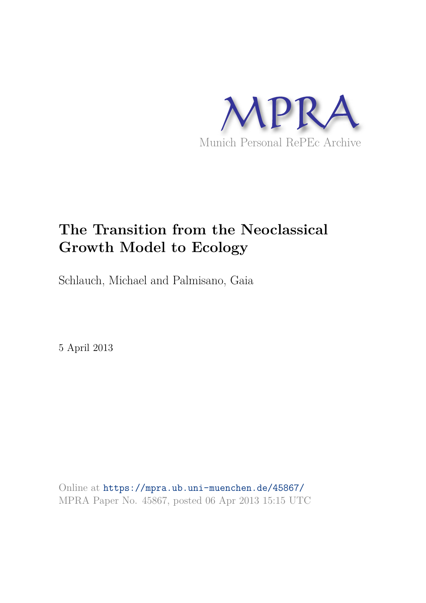

# **The Transition from the Neoclassical Growth Model to Ecology**

Schlauch, Michael and Palmisano, Gaia

5 April 2013

Online at https://mpra.ub.uni-muenchen.de/45867/ MPRA Paper No. 45867, posted 06 Apr 2013 15:15 UTC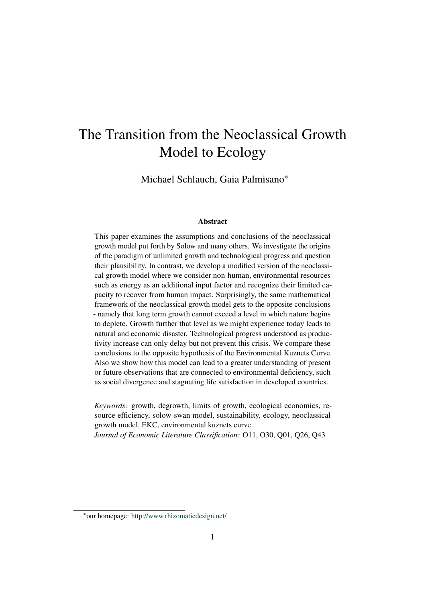# The Transition from the Neoclassical Growth Model to Ecology

Michael Schlauch, Gaia Palmisano<sup>∗</sup>

#### Abstract

This paper examines the assumptions and conclusions of the neoclassical growth model put forth by Solow and many others. We investigate the origins of the paradigm of unlimited growth and technological progress and question their plausibility. In contrast, we develop a modified version of the neoclassical growth model where we consider non-human, environmental resources such as energy as an additional input factor and recognize their limited capacity to recover from human impact. Surprisingly, the same mathematical framework of the neoclassical growth model gets to the opposite conclusions - namely that long term growth cannot exceed a level in which nature begins to deplete. Growth further that level as we might experience today leads to natural and economic disaster. Technological progress understood as productivity increase can only delay but not prevent this crisis. We compare these conclusions to the opposite hypothesis of the Environmental Kuznets Curve. Also we show how this model can lead to a greater understanding of present or future observations that are connected to environmental deficiency, such as social divergence and stagnating life satisfaction in developed countries.

*Keywords:* growth, degrowth, limits of growth, ecological economics, resource efficiency, solow-swan model, sustainability, ecology, neoclassical growth model, EKC, environmental kuznets curve *Journal of Economic Literature Classification:* O11, O30, Q01, Q26, Q43

<sup>∗</sup>our homepage: http://www.rhizomaticdesign.net/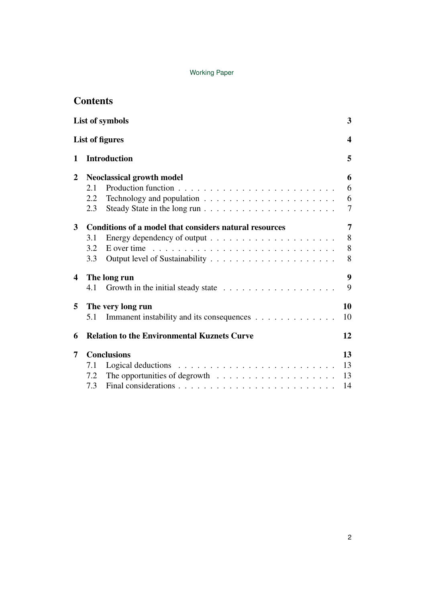| <b>Contents</b> |
|-----------------|
|-----------------|

|                         | <b>List of symbols</b>                                                                                                                                             | $\overline{\mathbf{3}}$           |  |  |
|-------------------------|--------------------------------------------------------------------------------------------------------------------------------------------------------------------|-----------------------------------|--|--|
|                         | <b>List of figures</b>                                                                                                                                             | $\boldsymbol{4}$                  |  |  |
| $\mathbf{1}$            | <b>Introduction</b>                                                                                                                                                |                                   |  |  |
| $\overline{2}$          | <b>Neoclassical growth model</b><br>2.1<br>$2.2^{\circ}$<br>2.3                                                                                                    | 6<br>6<br>6<br>$\overline{7}$     |  |  |
| $\overline{\mathbf{3}}$ | Conditions of a model that considers natural resources<br>3.1<br>E over time $\ldots \ldots \ldots \ldots \ldots \ldots \ldots \ldots \ldots \ldots$<br>3.2<br>3.3 | $\overline{7}$<br>$8\,$<br>8<br>8 |  |  |
| $\overline{\mathbf{4}}$ | The long run<br>4.1                                                                                                                                                | $\boldsymbol{9}$<br>9             |  |  |
| 5                       | The very long run<br>Immanent instability and its consequences<br>5.1                                                                                              | 10<br>10                          |  |  |
| 6                       | <b>Relation to the Environmental Kuznets Curve</b>                                                                                                                 | 12                                |  |  |
| 7                       | <b>Conclusions</b><br>7.1<br>7.2<br>7.3                                                                                                                            | 13<br>13<br>13<br>14              |  |  |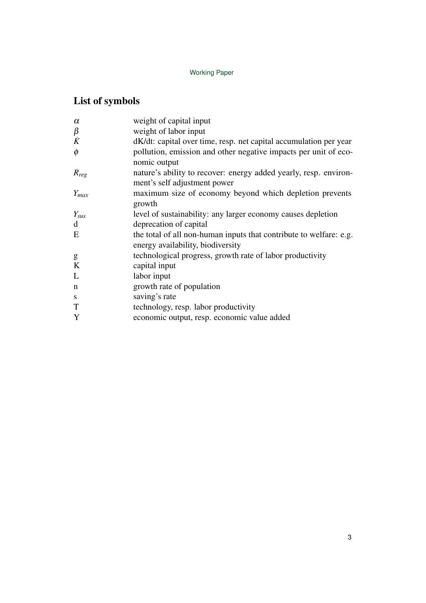## List of symbols

| $\alpha$  | weight of capital input                                            |
|-----------|--------------------------------------------------------------------|
| $\beta$   | weight of labor input                                              |
| $\dot{K}$ | dK/dt: capital over time, resp. net capital accumulation per year  |
| $\phi$    | pollution, emission and other negative impacts per unit of eco-    |
|           | nomic output                                                       |
| $R_{reg}$ | nature's ability to recover: energy added yearly, resp. environ-   |
|           | ment's self adjustment power                                       |
| $Y_{max}$ | maximum size of economy beyond which depletion prevents            |
|           | growth                                                             |
| $Y_{sus}$ | level of sustainability: any larger economy causes depletion       |
| d         | deprecation of capital                                             |
| E         | the total of all non-human inputs that contribute to welfare: e.g. |
|           | energy availability, biodiversity                                  |
| g         | technological progress, growth rate of labor productivity          |
| K         | capital input                                                      |
| L         | labor input                                                        |
| n         | growth rate of population                                          |
| S         | saving's rate                                                      |
| T         | technology, resp. labor productivity                               |
| Y         | economic output, resp. economic value added                        |
|           |                                                                    |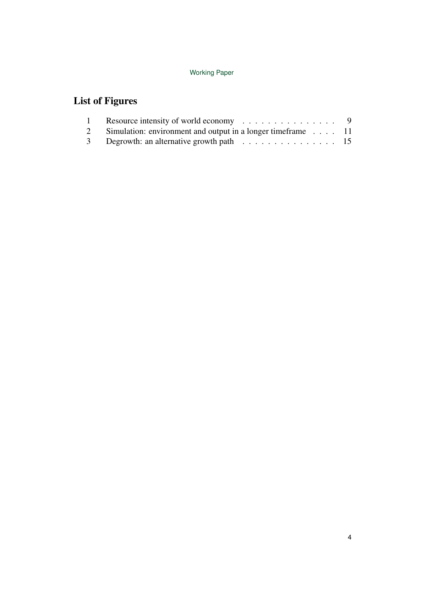## List of Figures

| Resource intensity of world economy $\dots \dots \dots \dots \dots$ 9 |  |
|-----------------------------------------------------------------------|--|
| 2 Simulation: environment and output in a longer time frame 11        |  |
| 3 Degrowth: an alternative growth path 15                             |  |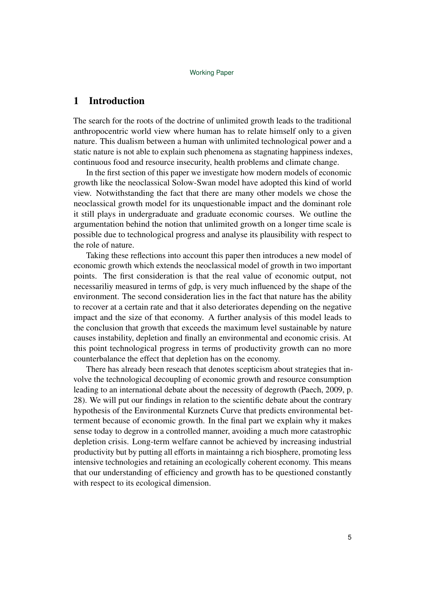## 1 Introduction

The search for the roots of the doctrine of unlimited growth leads to the traditional anthropocentric world view where human has to relate himself only to a given nature. This dualism between a human with unlimited technological power and a static nature is not able to explain such phenomena as stagnating happiness indexes, continuous food and resource insecurity, health problems and climate change.

In the first section of this paper we investigate how modern models of economic growth like the neoclassical Solow-Swan model have adopted this kind of world view. Notwithstanding the fact that there are many other models we chose the neoclassical growth model for its unquestionable impact and the dominant role it still plays in undergraduate and graduate economic courses. We outline the argumentation behind the notion that unlimited growth on a longer time scale is possible due to technological progress and analyse its plausibility with respect to the role of nature.

Taking these reflections into account this paper then introduces a new model of economic growth which extends the neoclassical model of growth in two important points. The first consideration is that the real value of economic output, not necessariliy measured in terms of gdp, is very much influenced by the shape of the environment. The second consideration lies in the fact that nature has the ability to recover at a certain rate and that it also deteriorates depending on the negative impact and the size of that economy. A further analysis of this model leads to the conclusion that growth that exceeds the maximum level sustainable by nature causes instability, depletion and finally an environmental and economic crisis. At this point technological progress in terms of productivity growth can no more counterbalance the effect that depletion has on the economy.

There has already been reseach that denotes scepticism about strategies that involve the technological decoupling of economic growth and resource consumption leading to an international debate about the necessity of degrowth (Paech, 2009, p. 28). We will put our findings in relation to the scientific debate about the contrary hypothesis of the Environmental Kurznets Curve that predicts environmental betterment because of economic growth. In the final part we explain why it makes sense today to degrow in a controlled manner, avoiding a much more catastrophic depletion crisis. Long-term welfare cannot be achieved by increasing industrial productivity but by putting all efforts in maintainng a rich biosphere, promoting less intensive technologies and retaining an ecologically coherent economy. This means that our understanding of efficiency and growth has to be questioned constantly with respect to its ecological dimension.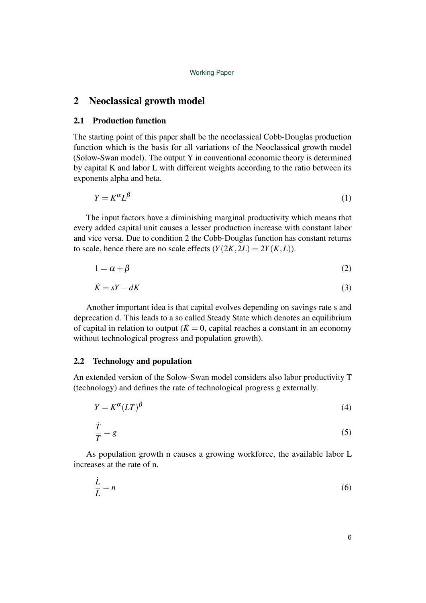## 2 Neoclassical growth model

### 2.1 Production function

The starting point of this paper shall be the neoclassical Cobb-Douglas production function which is the basis for all variations of the Neoclassical growth model (Solow-Swan model). The output Y in conventional economic theory is determined by capital K and labor L with different weights according to the ratio between its exponents alpha and beta.

$$
Y = K^{\alpha} L^{\beta} \tag{1}
$$

The input factors have a diminishing marginal productivity which means that every added capital unit causes a lesser production increase with constant labor and vice versa. Due to condition 2 the Cobb-Douglas function has constant returns to scale, hence there are no scale effects  $(Y(2K, 2L) = 2Y(K, L))$ .

$$
1 = \alpha + \beta \tag{2}
$$

$$
\dot{K} = sY - dK\tag{3}
$$

Another important idea is that capital evolves depending on savings rate s and deprecation d. This leads to a so called Steady State which denotes an equilibrium of capital in relation to output ( $\dot{K} = 0$ , capital reaches a constant in an economy without technological progress and population growth).

## 2.2 Technology and population

An extended version of the Solow-Swan model considers also labor productivity T (technology) and defines the rate of technological progress g externally.

$$
Y = K^{\alpha} (LT)^{\beta} \tag{4}
$$

$$
\frac{\dot{T}}{T} = g \tag{5}
$$

As population growth n causes a growing workforce, the available labor L increases at the rate of n.

$$
\frac{\dot{L}}{L} = n \tag{6}
$$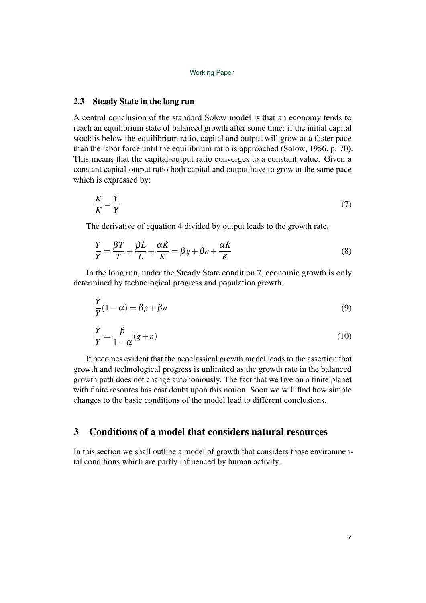### 2.3 Steady State in the long run

A central conclusion of the standard Solow model is that an economy tends to reach an equilibrium state of balanced growth after some time: if the initial capital stock is below the equilibrium ratio, capital and output will grow at a faster pace than the labor force until the equilibrium ratio is approached (Solow, 1956, p. 70). This means that the capital-output ratio converges to a constant value. Given a constant capital-output ratio both capital and output have to grow at the same pace which is expressed by:

$$
\frac{\dot{K}}{K} = \frac{\dot{Y}}{Y} \tag{7}
$$

The derivative of equation 4 divided by output leads to the growth rate.

$$
\frac{\dot{Y}}{Y} = \frac{\beta \dot{T}}{T} + \frac{\beta \dot{L}}{L} + \frac{\alpha \dot{K}}{K} = \beta g + \beta n + \frac{\alpha \dot{K}}{K}
$$
\n(8)

In the long run, under the Steady State condition 7, economic growth is only determined by technological progress and population growth.

$$
\frac{\dot{Y}}{Y}(1-\alpha) = \beta g + \beta n \tag{9}
$$

$$
\frac{\dot{Y}}{Y} = \frac{\beta}{1 - \alpha}(g + n) \tag{10}
$$

It becomes evident that the neoclassical growth model leads to the assertion that growth and technological progress is unlimited as the growth rate in the balanced growth path does not change autonomously. The fact that we live on a finite planet with finite resoures has cast doubt upon this notion. Soon we will find how simple changes to the basic conditions of the model lead to different conclusions.

## 3 Conditions of a model that considers natural resources

In this section we shall outline a model of growth that considers those environmental conditions which are partly influenced by human activity.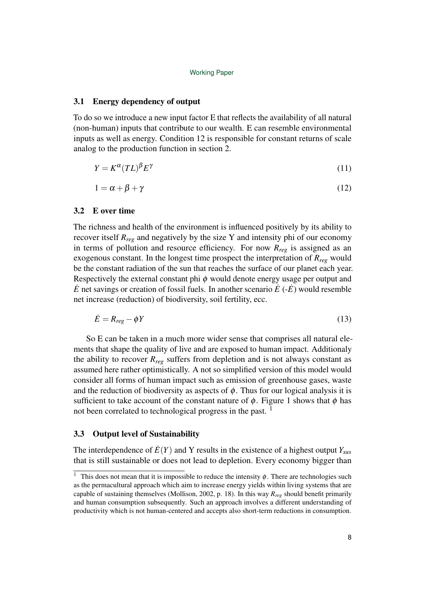#### 3.1 Energy dependency of output

To do so we introduce a new input factor E that reflects the availability of all natural (non-human) inputs that contribute to our wealth. E can resemble environmental inputs as well as energy. Condition 12 is responsible for constant returns of scale analog to the production function in section 2.

$$
Y = K^{\alpha} (TL)^{\beta} E^{\gamma} \tag{11}
$$

$$
1 = \alpha + \beta + \gamma \tag{12}
$$

#### 3.2 E over time

The richness and health of the environment is influenced positively by its ability to recover itself *Rreg* and negatively by the size Y and intensity phi of our economy in terms of pollution and resource efficiency. For now *Rreg* is assigned as an exogenous constant. In the longest time prospect the interpretation of *Rreg* would be the constant radiation of the sun that reaches the surface of our planet each year. Respectively the external constant phi  $\phi$  would denote energy usage per output and  $\dot{E}$  net savings or creation of fossil fuels. In another scenario  $\dot{E}$  ( $-\dot{E}$ ) would resemble net increase (reduction) of biodiversity, soil fertility, ecc.

$$
\dot{E} = R_{reg} - \phi Y \tag{13}
$$

So E can be taken in a much more wider sense that comprises all natural elements that shape the quality of live and are exposed to human impact. Additionaly the ability to recover  $R_{reg}$  suffers from depletion and is not always constant as assumed here rather optimistically. A not so simplified version of this model would consider all forms of human impact such as emission of greenhouse gases, waste and the reduction of biodiversity as aspects of  $\phi$ . Thus for our logical analysis it is sufficient to take account of the constant nature of  $\phi$ . Figure 1 shows that  $\phi$  has not been correlated to technological progress in the past.<sup>1</sup>

#### 3.3 Output level of Sustainability

The interdependence of  $E(Y)$  and Y results in the existence of a highest output  $Y_{\text{SUS}}$ that is still sustainable or does not lead to depletion. Every economy bigger than

<sup>&</sup>lt;sup>1</sup> This does not mean that it is impossible to reduce the intensity  $\phi$ . There are technologies such as the permacultural approach which aim to increase energy yields within living systems that are capable of sustaining themselves (Mollison, 2002, p. 18). In this way *Rreg* should benefit primarily and human consumption subsequently. Such an approach involves a different understanding of productivity which is not human-centered and accepts also short-term reductions in consumption.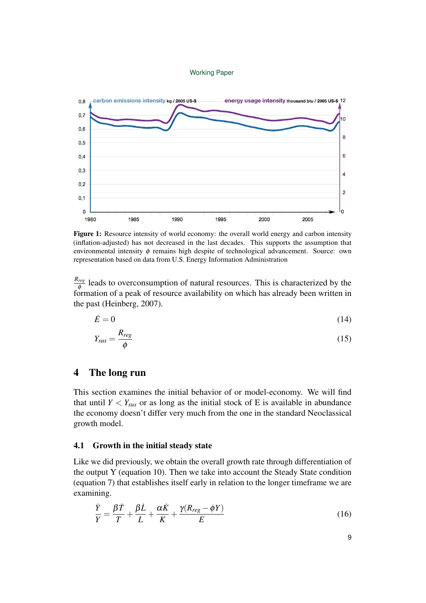

Figure 1: Resource intensity of world economy: the overall world energy and carbon intensity (inflation-adjusted) has not decreased in the last decades. This supports the assumption that environmental intensity  $\phi$  remains high despite of technological advancement. Source: own representation based on data from U.S. Energy Information Administration

*Rreg*  $\frac{reg}{\phi}$  leads to overconsumption of natural resources. This is characterized by the formation of a peak of resource availability on which has already been written in the past (Heinberg, 2007).

$$
\dot{E} = 0 \tag{14}
$$

$$
Y_{sus} = \frac{R_{reg}}{\phi} \tag{15}
$$

## 4 The long run

This section examines the initial behavior of or model-economy. We will find that until  $Y < Y_{\text{SUS}}$  or as long as the initial stock of E is available in abundance the economy doesn't differ very much from the one in the standard Neoclassical growth model.

### 4.1 Growth in the initial steady state

Like we did previously, we obtain the overall growth rate through differentiation of the output Y (equation 10). Then we take into account the Steady State condition (equation 7) that establishes itself early in relation to the longer timeframe we are examining.

$$
\frac{\dot{Y}}{Y} = \frac{\beta \dot{T}}{T} + \frac{\beta \dot{L}}{L} + \frac{\alpha \dot{K}}{K} + \frac{\gamma (R_{reg} - \phi Y)}{E}
$$
\n(16)

9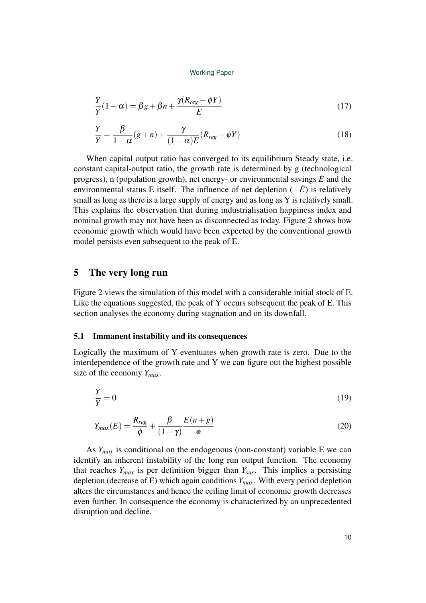$$
\frac{\dot{Y}}{Y}(1-\alpha) = \beta g + \beta n + \frac{\gamma (R_{reg} - \phi Y)}{E}
$$
\n(17)

$$
\frac{\dot{Y}}{Y} = \frac{\beta}{1 - \alpha}(g + n) + \frac{\gamma}{(1 - \alpha)E}(R_{reg} - \phi Y)
$$
\n(18)

When capital output ratio has converged to its equilibrium Steady state, i.e. constant capital-output ratio, the growth rate is determined by g (technological progress), n (population growth), net energy- or environmental savings  $\dot{E}$  and the environmental status E itself. The influence of net depletion (−*E*˙) is relatively small as long as there is a large supply of energy and as long as Y is relatively small. This explains the observation that during industrialisation happiness index and nominal growth may not have been as disconnected as today. Figure 2 shows how economic growth which would have been expected by the conventional growth model persists even subsequent to the peak of E.

## 5 The very long run

Figure 2 views the simulation of this model with a considerable initial stock of E. Like the equations suggested, the peak of Y occurs subsequent the peak of E. This section analyses the economy during stagnation and on its downfall.

## 5.1 Immanent instability and its consequences

Logically the maximum of Y eventuates when growth rate is zero. Due to the interdependence of the growth rate and Y we can figure out the highest possible size of the economy *Ymax*.

$$
\frac{\dot{Y}}{Y} = 0\tag{19}
$$

$$
Y_{max}(E) = \frac{R_{reg}}{\phi} + \frac{\beta}{(1-\gamma)} \frac{E(n+g)}{\phi}
$$
 (20)

As  $Y_{max}$  is conditional on the endogenous (non-constant) variable E we can identify an inherent instability of the long run output function. The economy that reaches *Ymax* is per definition bigger than *Ysus*. This implies a persisting depletion (decrease of E) which again conditions *Ymax*. With every period depletion alters the circumstances and hence the ceiling limit of economic growth decreases even further. In consequence the economy is characterized by an unprecedented disruption and decline.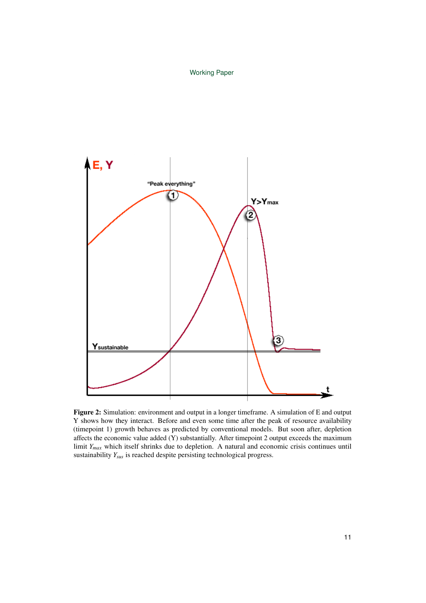

Figure 2: Simulation: environment and output in a longer timeframe. A simulation of E and output Y shows how they interact. Before and even some time after the peak of resource availability (timepoint 1) growth behaves as predicted by conventional models. But soon after, depletion affects the economic value added (Y) substantially. After timepoint 2 output exceeds the maximum limit *Ymax* which itself shrinks due to depletion. A natural and economic crisis continues until sustainability *Ysus* is reached despite persisting technological progress.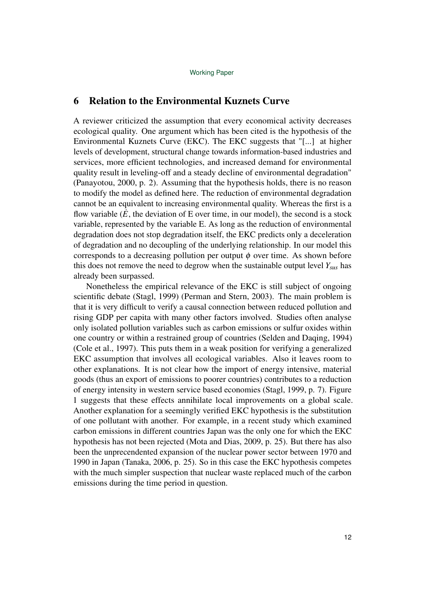## 6 Relation to the Environmental Kuznets Curve

A reviewer criticized the assumption that every economical activity decreases ecological quality. One argument which has been cited is the hypothesis of the Environmental Kuznets Curve (EKC). The EKC suggests that "[...] at higher levels of development, structural change towards information-based industries and services, more efficient technologies, and increased demand for environmental quality result in leveling-off and a steady decline of environmental degradation" (Panayotou, 2000, p. 2). Assuming that the hypothesis holds, there is no reason to modify the model as defined here. The reduction of environmental degradation cannot be an equivalent to increasing environmental quality. Whereas the first is a flow variable  $(\dot{E}$ , the deviation of E over time, in our model), the second is a stock variable, represented by the variable E. As long as the reduction of environmental degradation does not stop degradation itself, the EKC predicts only a deceleration of degradation and no decoupling of the underlying relationship. In our model this corresponds to a decreasing pollution per output  $\phi$  over time. As shown before this does not remove the need to degrow when the sustainable output level *Ysus* has already been surpassed.

Nonetheless the empirical relevance of the EKC is still subject of ongoing scientific debate (Stagl, 1999) (Perman and Stern, 2003). The main problem is that it is very difficult to verify a causal connection between reduced pollution and rising GDP per capita with many other factors involved. Studies often analyse only isolated pollution variables such as carbon emissions or sulfur oxides within one country or within a restrained group of countries (Selden and Daqing, 1994) (Cole et al., 1997). This puts them in a weak position for verifying a generalized EKC assumption that involves all ecological variables. Also it leaves room to other explanations. It is not clear how the import of energy intensive, material goods (thus an export of emissions to poorer countries) contributes to a reduction of energy intensity in western service based economies (Stagl, 1999, p. 7). Figure 1 suggests that these effects annihilate local improvements on a global scale. Another explanation for a seemingly verified EKC hypothesis is the substitution of one pollutant with another. For example, in a recent study which examined carbon emissions in different countries Japan was the only one for which the EKC hypothesis has not been rejected (Mota and Dias, 2009, p. 25). But there has also been the unprecendented expansion of the nuclear power sector between 1970 and 1990 in Japan (Tanaka, 2006, p. 25). So in this case the EKC hypothesis competes with the much simpler suspection that nuclear waste replaced much of the carbon emissions during the time period in question.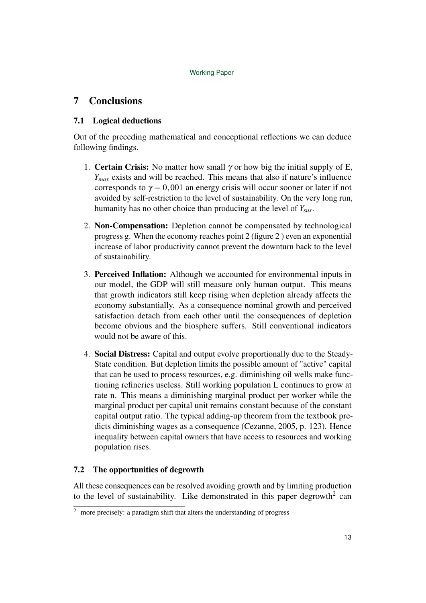## 7 Conclusions

## 7.1 Logical deductions

Out of the preceding mathematical and conceptional reflections we can deduce following findings.

- 1. **Certain Crisis:** No matter how small  $\gamma$  or how big the initial supply of E, *Ymax* exists and will be reached. This means that also if nature's influence corresponds to  $\gamma = 0.001$  an energy crisis will occur sooner or later if not avoided by self-restriction to the level of sustainability. On the very long run, humanity has no other choice than producing at the level of *Ysus*.
- 2. Non-Compensation: Depletion cannot be compensated by technological progress g. When the economy reaches point 2 (figure 2 ) even an exponential increase of labor productivity cannot prevent the downturn back to the level of sustainability.
- 3. Perceived Inflation: Although we accounted for environmental inputs in our model, the GDP will still measure only human output. This means that growth indicators still keep rising when depletion already affects the economy substantially. As a consequence nominal growth and perceived satisfaction detach from each other until the consequences of depletion become obvious and the biosphere suffers. Still conventional indicators would not be aware of this.
- 4. Social Distress: Capital and output evolve proportionally due to the Steady-State condition. But depletion limits the possible amount of "active" capital that can be used to process resources, e.g. diminishing oil wells make functioning refineries useless. Still working population L continues to grow at rate n. This means a diminishing marginal product per worker while the marginal product per capital unit remains constant because of the constant capital output ratio. The typical adding-up theorem from the textbook predicts diminishing wages as a consequence (Cezanne, 2005, p. 123). Hence inequality between capital owners that have access to resources and working population rises.

## 7.2 The opportunities of degrowth

All these consequences can be resolved avoiding growth and by limiting production to the level of sustainability. Like demonstrated in this paper degrowth<sup>2</sup> can

 $\frac{2}{3}$  more precisely: a paradigm shift that alters the understanding of progress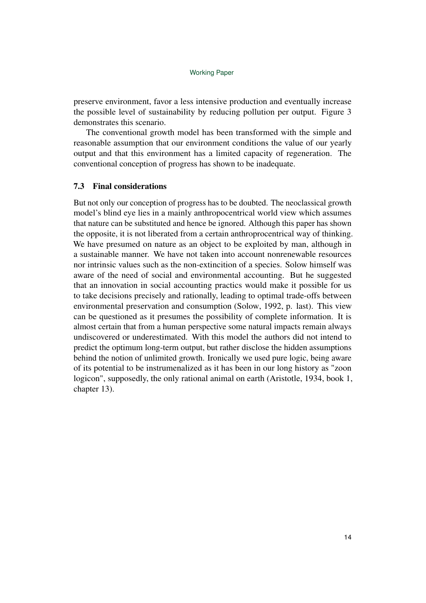preserve environment, favor a less intensive production and eventually increase the possible level of sustainability by reducing pollution per output. Figure 3 demonstrates this scenario.

The conventional growth model has been transformed with the simple and reasonable assumption that our environment conditions the value of our yearly output and that this environment has a limited capacity of regeneration. The conventional conception of progress has shown to be inadequate.

## 7.3 Final considerations

But not only our conception of progress has to be doubted. The neoclassical growth model's blind eye lies in a mainly anthropocentrical world view which assumes that nature can be substituted and hence be ignored. Although this paper has shown the opposite, it is not liberated from a certain anthroprocentrical way of thinking. We have presumed on nature as an object to be exploited by man, although in a sustainable manner. We have not taken into account nonrenewable resources nor intrinsic values such as the non-extincition of a species. Solow himself was aware of the need of social and environmental accounting. But he suggested that an innovation in social accounting practics would make it possible for us to take decisions precisely and rationally, leading to optimal trade-offs between environmental preservation and consumption (Solow, 1992, p. last). This view can be questioned as it presumes the possibility of complete information. It is almost certain that from a human perspective some natural impacts remain always undiscovered or underestimated. With this model the authors did not intend to predict the optimum long-term output, but rather disclose the hidden assumptions behind the notion of unlimited growth. Ironically we used pure logic, being aware of its potential to be instrumenalized as it has been in our long history as "zoon logicon", supposedly, the only rational animal on earth (Aristotle, 1934, book 1, chapter 13).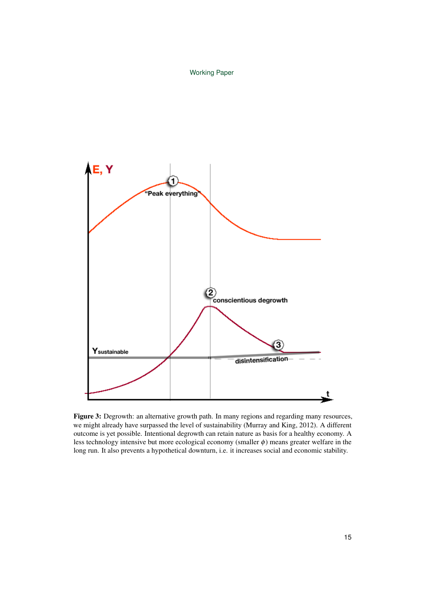

Figure 3: Degrowth: an alternative growth path. In many regions and regarding many resources, we might already have surpassed the level of sustainability (Murray and King, 2012). A different outcome is yet possible. Intentional degrowth can retain nature as basis for a healthy economy. A less technology intensive but more ecological economy (smaller  $\phi$ ) means greater welfare in the long run. It also prevents a hypothetical downturn, i.e. it increases social and economic stability.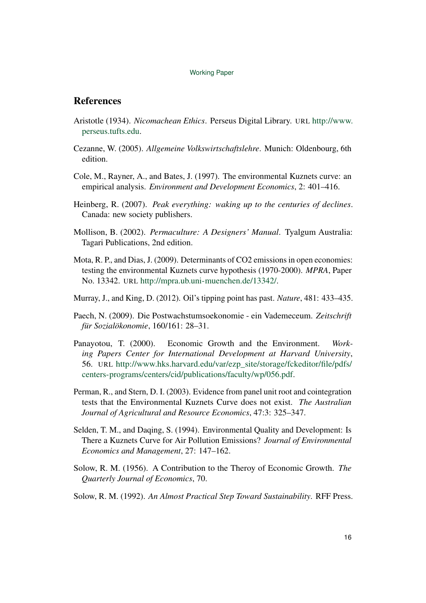## **References**

- Aristotle (1934). *Nicomachean Ethics*. Perseus Digital Library. URL http://www. perseus.tufts.edu.
- Cezanne, W. (2005). *Allgemeine Volkswirtschaftslehre*. Munich: Oldenbourg, 6th edition.
- Cole, M., Rayner, A., and Bates, J. (1997). The environmental Kuznets curve: an empirical analysis. *Environment and Development Economics*, 2: 401–416.
- Heinberg, R. (2007). *Peak everything: waking up to the centuries of declines*. Canada: new society publishers.
- Mollison, B. (2002). *Permaculture: A Designers' Manual*. Tyalgum Australia: Tagari Publications, 2nd edition.
- Mota, R. P., and Dias, J. (2009). Determinants of CO2 emissions in open economies: testing the environmental Kuznets curve hypothesis (1970-2000). *MPRA*, Paper No. 13342. URL http://mpra.ub.uni-muenchen.de/13342/.
- Murray, J., and King, D. (2012). Oil's tipping point has past. *Nature*, 481: 433–435.
- Paech, N. (2009). Die Postwachstumsoekonomie ein Vademeceum. *Zeitschrift für Sozialökonomie*, 160/161: 28–31.
- Panayotou, T. (2000). Economic Growth and the Environment. *Working Papers Center for International Development at Harvard University*, 56. URL http://www.hks.harvard.edu/var/ezp\_site/storage/fckeditor/file/pdfs/ centers-programs/centers/cid/publications/faculty/wp/056.pdf.
- Perman, R., and Stern, D. I. (2003). Evidence from panel unit root and cointegration tests that the Environmental Kuznets Curve does not exist. *The Australian Journal of Agricultural and Resource Economics*, 47:3: 325–347.
- Selden, T. M., and Daqing, S. (1994). Environmental Quality and Development: Is There a Kuznets Curve for Air Pollution Emissions? *Journal of Environmental Economics and Management*, 27: 147–162.
- Solow, R. M. (1956). A Contribution to the Theroy of Economic Growth. *The Quarterly Journal of Economics*, 70.
- Solow, R. M. (1992). *An Almost Practical Step Toward Sustainability*. RFF Press.